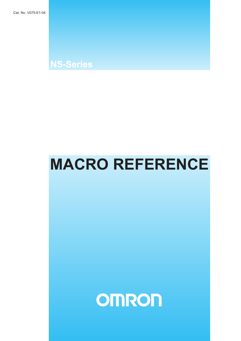**NS-Series**

# **MACRO REFERENCE**

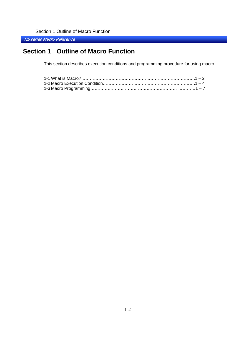NS series Macro Reference

## **Section 1 Outline of Macro Function**

This section describes execution conditions and programming procedure for using macro.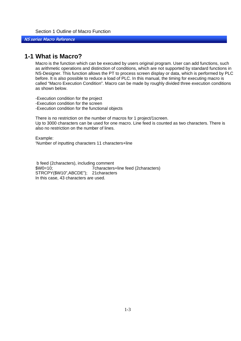<span id="page-3-0"></span>NS series Macro Reference

## **1-1 What is Macro?**

Macro is the function which can be executed by users original program. User can add functions, such as arithmetic operations and distinction of conditions, which are not supported by standard functions in NS-Designer. This function allows the PT to process screen display or data, which is performed by PLC before. It is also possible to reduce a load of PLC. In this manual, the timing for executing macro is called "Macro Execution Condition". Macro can be made by roughly divided three execution conditions as shown below.

-Execution condition for the project -Execution condition for the screen -Execution condition for the functional objects

There is no restriction on the number of macros for 1 project/1screen. Up to 3000 characters can be used for one macro. Line feed is counted as two characters. There is also no restriction on the number of lines.

Example: 'Number of inputting characters 11 characters+line

 b feed (2characters), including comment \$W0=10; 7characters+line feed (2characters) STRCPY(\$W10",ABCDE"); 21characters In this case, 43 characters are used.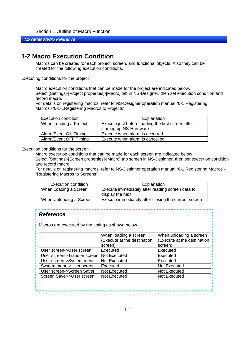#### <span id="page-4-0"></span>NS series Macro Reference

## **1-2 Macro Execution Condition**

Macros can be created for each project, screen, and functional objects. Also they can be created for the following execution conditions.

Executing conditions for the project

Macro execution conditions that can be made for the project are indicated below. Select [Settings]-[Project properties]-[Macro] tab in NS-Designer, then set execution condition and record macro.

For details on registering macros, refer to NS-Designer operation manual "6-1 Registering Macros"-"6-1-1Registering Macros to Projects".

| <b>Execution condition</b> | Explanation                                                                   |
|----------------------------|-------------------------------------------------------------------------------|
| When Loading a Project     | Execute just before loading the first screen after<br>starting up NS-Hardware |
| Alarm/Event ON Timing      | Execute when alarm is occurred                                                |
| Alarm/Event OFF Timing     | Execute when alarm is cancelled                                               |

Execution conditions for the screen

Macro execution conditions that can be made for each screen are indicated below.

Select [Settings]-[Screen properties]-[Macro] tab screen in NS-Designer, then set execution condition and record macro.

For details on registering macros, refer to NS-Designer operation manual "6-1 Registering Macros"- "Registering Macros to Screens".

| Execution condition     | Explanation                                                          |
|-------------------------|----------------------------------------------------------------------|
| When Loading a Screen   | Execute immediately after reading screen data to<br>display the next |
| When Unloading a Screen | Execute immediately after closing the current screen                 |

,,,,,,,,,,,,,,,,,,,,,,,,,,,,,

## *Reference*

Macros are executed by the timing as shown below.

|                                           | When loading a screen<br>(Execute at the destination | When unloading a screen<br>(Execute at the destination |
|-------------------------------------------|------------------------------------------------------|--------------------------------------------------------|
|                                           | screen)                                              | screen)                                                |
| User screen->User screen                  | Executed                                             | Executed                                               |
| User screen->Transfer screen Not Executed |                                                      | Executed                                               |
| User screen->System menu                  | Not Executed                                         | Executed                                               |
| System menu->User screen                  | Executed                                             | Not Executed                                           |
| User screen->Screen Saver                 | Not Executed                                         | Not Executed                                           |
| Screen Saver->User screen                 | Not Executed                                         | Not Executed                                           |
|                                           |                                                      |                                                        |
|                                           |                                                      |                                                        |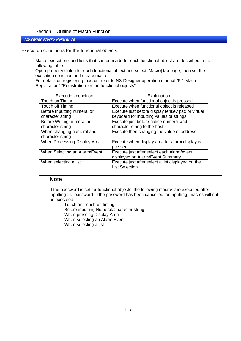#### NS series Macro Reference

Execution conditions for the functional objects

Macro execution conditions that can be made for each functional object are described in the following table.

Open property dialog for each functional object and select [Macro] tab page, then set the execution condition and create macro.

For details on registering macros, refer to NS-Designer operation manual "6-1 Macro Registration"-"Registration for the functional objects".

| <b>Execution condition</b>    | Explanation                                       |
|-------------------------------|---------------------------------------------------|
| Touch on Timing               | Execute when functional object is pressed.        |
| Touch off Timing              | Execute when functional object is released        |
| Before Inputting numeral or   | Execute just before display tenkey pad or virtual |
| character string              | keyboard for inputting values or strings          |
| Before Writing numeral or     | Execute just before notice numeral and            |
| character string              | character string to the host.                     |
| When changing numeral and     | Execute then changing the value of address.       |
| character string              |                                                   |
| When Processing Display Area  | Execute when display area for alarm display is    |
|                               | pressed.                                          |
| When Selecting an Alarm/Event | Execute just after select each alarm/event        |
|                               | displayed on Alarm/Event Summary                  |
| When selecting a list         | Execute just after select a list displayed on the |
|                               | List Selection.                                   |

## **Note**

If the password is set for functional objects, the following macros are executed after inputting the password. If the password has been cancelled for inputting, macros will not be executed.

- Touch on/Touch off timing
- Before inputting Numeral/Character string
- When pressing Display Area
- When selecting an Alarm/Event
- When selecting a list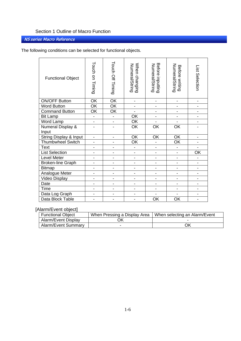NS series Macro Reference

The following conditions can be selected for functional objects.

| <b>Functional Object</b>              | Touch on Timing              | Touch Off Timing             | When changing<br>Numeral/String | Before inputting<br>Numeral/String | Numeral/String<br>Before writing | List Selection               |
|---------------------------------------|------------------------------|------------------------------|---------------------------------|------------------------------------|----------------------------------|------------------------------|
| <b>ON/OFF Button</b>                  | $\overline{\mathsf{OK}}$     | OK                           | -                               | -                                  | -                                |                              |
| <b>Word Button</b>                    | $\overline{\mathsf{OK}}$     | OK                           | $\overline{\phantom{0}}$        |                                    |                                  | $\overline{a}$               |
| <b>Command Button</b>                 | $\overline{\mathsf{OK}}$     | $\overline{\mathsf{OK}}$     |                                 |                                    |                                  |                              |
| <b>Bit Lamp</b>                       | $\qquad \qquad \blacksquare$ | $\qquad \qquad \blacksquare$ | OK                              | $\overline{a}$                     |                                  | -                            |
| Word Lamp                             | $\overline{a}$               | $\overline{\phantom{0}}$     | $\overline{OK}$                 | $\overline{\phantom{a}}$           |                                  | $\overline{\phantom{0}}$     |
| <b>Numeral Display &amp;</b><br>Input |                              |                              | $\overline{OK}$                 | $\overline{OK}$                    | OK                               |                              |
| String Display & Input                | $\overline{\phantom{0}}$     | $\overline{\phantom{0}}$     | OK                              | OK                                 | OK                               | $\qquad \qquad \blacksquare$ |
| <b>Thumbwheel Switch</b>              | -                            |                              | $\overline{\mathsf{OK}}$        |                                    | $\overline{\mathsf{OK}}$         |                              |
| <b>Text</b>                           |                              |                              | $\overline{\phantom{0}}$        | $\overline{a}$                     |                                  | -                            |
| <b>List Selection</b>                 | $\overline{\phantom{0}}$     |                              | $\overline{\phantom{0}}$        | $\overline{a}$                     | $\overline{\phantom{0}}$         | OK                           |
| Level Meter                           | $\overline{\phantom{0}}$     |                              | $\overline{\phantom{0}}$        |                                    |                                  |                              |
| <b>Broken-line Graph</b>              | -                            |                              | -                               |                                    |                                  | $\overline{\phantom{0}}$     |
| <b>Bitmap</b>                         | -                            |                              | -                               |                                    |                                  | $\qquad \qquad \blacksquare$ |
| Analogue Meter                        | $\overline{\phantom{0}}$     | -                            | -                               | -                                  |                                  | $\qquad \qquad \blacksquare$ |
| Video Display                         |                              |                              | -                               |                                    |                                  |                              |
| Date                                  | -                            |                              | -                               |                                    |                                  | $\overline{a}$               |
| Time                                  | -                            |                              | $\overline{\phantom{0}}$        | $\overline{a}$                     | $\qquad \qquad \blacksquare$     | $\overline{\phantom{0}}$     |
| Data Log Graph                        |                              |                              |                                 |                                    |                                  |                              |
| Data Block Table                      |                              |                              |                                 | $\overline{\mathsf{OK}}$           | OK                               |                              |

## [Alarm/Event object]

| <b>Functional Object</b> | When Pressing a Display Area | When selecting an Alarm/Event |
|--------------------------|------------------------------|-------------------------------|
| Alarm/Event Display      | ЭK                           |                               |
| Alarm/Event Summary      |                              | Эk                            |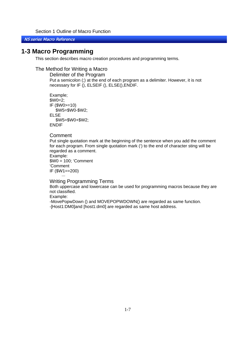<span id="page-7-0"></span>NS series Macro Reference

## **1-3 Macro Programming**

This section describes macro creation procedures and programming terms.

## The Method for Writing a Macro

Delimiter of the Program Put a semicolon (;) at the end of each program as a delimiter. However, it is not necessary for IF (), ELSEIF (), ELSE(),ENDIF.

Example; \$W0=2; IF (\$W0>=10) \$W5=\$W0-\$W2; ELSE \$W5=\$W0+\$W2; ENDIF

#### Comment

Put single quotation mark at the beginning of the sentence when you add the comment for each program. From single quotation mark (') to the end of character sting will be regarded as a comment.

```
Example: 
$W0 = 100; 'Comment 
'Comment 
IF ($W1==200) 
       ···
```
Writing Programming Terms

Both uppercase and lowercase can be used for programming macros because they are not classified.

Example:

-MovePopwDown () and MOVEPOPWDOWN() are regarded as same function. -[Host1:DM0]and [host1:dm0] are regarded as same host address.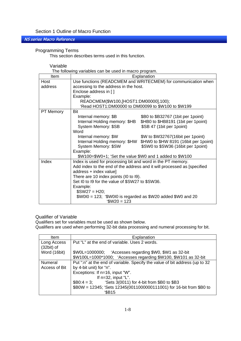#### NS series Macro Reference

#### Programming Terms

This section describes terms used in this function.

#### Variable

The following variables can be used in macro program.

| Item             | Explanation                                                             |                                       |  |
|------------------|-------------------------------------------------------------------------|---------------------------------------|--|
| Host             | Use functions (READCMEM and WRITECMEM) for communication when           |                                       |  |
| address          | accessing to the address in the host.                                   |                                       |  |
|                  | Enclose address in []                                                   |                                       |  |
|                  | Example:                                                                |                                       |  |
|                  | READCMEM(\$W100,[HOST1:DM00000],100);                                   |                                       |  |
|                  | 'Read HOST1:DM00000 to DM00099 to \$W100 to \$W199                      |                                       |  |
| <b>PT Memory</b> | Bit                                                                     |                                       |  |
|                  | Internal memory: \$B                                                    | \$B0 to \$B32767 (1bit per 1 point)   |  |
|                  | Internal Holding memory: \$HB                                           | \$HB0 to \$HB8191 (1bit per 1 point)  |  |
|                  | System Memory: \$SB                                                     | \$SB 47 (1bit per 1point)             |  |
|                  | Word                                                                    |                                       |  |
|                  | Internal memory: \$W                                                    | \$W to \$W32767(16bit per 1 point)    |  |
|                  | Internal Holding memory: \$HW                                           | \$HW0 to \$HW 8191 (16bit per 1point) |  |
|                  | System Memory: \$SW                                                     | \$SW0 to \$SW36 (16bit per 1 point)   |  |
|                  | Example:                                                                |                                       |  |
|                  | \$W100=\$W0+1; 'Set the value \$W0 and 1 added to \$W100                |                                       |  |
| Index            | Index is used for processing bit and word in the PT memory.             |                                       |  |
|                  | Add index to the end of the address and it will processed as [specified |                                       |  |
|                  | address + index value]                                                  |                                       |  |
|                  | There are 10 index points (I0 to I9).                                   |                                       |  |
|                  | Set I0 to I9 for the value of \$SW27 to \$SW36.                         |                                       |  |
|                  | Example:                                                                |                                       |  |
|                  | $$SW27 = H20;$                                                          |                                       |  |
|                  | $$W010 = 123$ ; ' $$W010$ is regarded as $$W20$ added $$W0$ and 20      |                                       |  |
|                  | $W20 = 123$                                                             |                                       |  |

## Qualifier of Variable

Qualifiers set for variables must be used as shown below.

Qualifiers are used when performing 32-bit data processing and numeral processing for bit.

| Item           | Explanation                                                                 |
|----------------|-----------------------------------------------------------------------------|
| Long Access    | Put "L" at the end of variable. Uses 2 words.                               |
| $(32bit)$ of   |                                                                             |
| Word (16bit)   | \$W0L=1000000; 'Accesses regarding \$W0, \$W1 as 32-bit                     |
|                | \$W100L=1000*1000; 'Accesses regarding \$W100, \$W101 as 32-bit             |
| <b>Numeral</b> | Put ":n" at the end of variable. Specify the value of bit address (up to 32 |
| Access of Bit  | by 4-bit unit) for "n".                                                     |
|                | Exceptions: If n=16, input "W".                                             |
|                | If $n=32$ , input "L".                                                      |
|                | $$B0:4 = 3;$ 'Sets 3(0011) for 4-bit from \$B0 to \$B3                      |
|                | \$B0W = 12345; 'Sets 12345(0011000000111001) for 16-bit from \$B0 to        |
|                | \$B15                                                                       |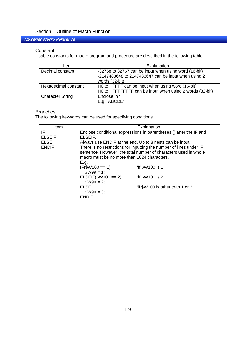NS series Macro Reference

#### **Constant**

Usable constants for macro program and procedure are described in the following table.

| ltem                    | Explanation                                                                                                                    |
|-------------------------|--------------------------------------------------------------------------------------------------------------------------------|
| Decimal constant        | -32768 to 32767 can be input when using word (16-bit)<br>-2147483648 to 2147483647 can be input when using 2<br>words (32-bit) |
| Hexadecimal constant    | H0 to HFFFF can be input when using word (16-bit)<br>H0 to HFFFFFFFF can be input when using 2 words (32-bit)                  |
| <b>Character String</b> | Enclose in ""<br>E.g. "ABCDE"                                                                                                  |

#### Branches

The following keywords can be used for specifying conditions.

| Item                        | Explanation                                                                                                                                                                                        |                                                                    |  |
|-----------------------------|----------------------------------------------------------------------------------------------------------------------------------------------------------------------------------------------------|--------------------------------------------------------------------|--|
| IF<br><b>ELSEIF</b>         | ELSEIF.                                                                                                                                                                                            | Enclose conditional expressions in parentheses () after the IF and |  |
| <b>ELSE</b><br><b>ENDIF</b> | Always use ENDIF at the end. Up to 8 nests can be input.<br>There is no restrictions for inputting the number of lines under IF<br>sentence. However, the total number of characters used in whole |                                                                    |  |
|                             | macro must be no more than 1024 characters.                                                                                                                                                        |                                                                    |  |
|                             | E.g.<br>$IF($W100 == 1)$<br>$$W99 = 1$ ;                                                                                                                                                           | 'If \$W100 is 1                                                    |  |
|                             | $ELSEIF($W100 == 2)$<br>$$W99 = 2;$                                                                                                                                                                | 'if \$W100 is 2                                                    |  |
|                             | ELSE<br>$$W99 = 3;$                                                                                                                                                                                | 'if \$W100 is other than 1 or 2                                    |  |
|                             | <b>ENDIF</b>                                                                                                                                                                                       |                                                                    |  |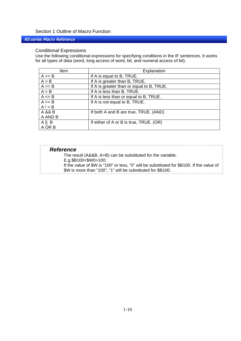### NS series Macro Reference

#### Conditional Expressions

Use the following conditional expressions for specifying conditions in the IF sentences. It works for all types of data (word, long access of word, bit, and numeral access of bit).

| Item            | Explanation                               |
|-----------------|-------------------------------------------|
| $A == B$        | If A is equal to B, TRUE.                 |
| A > B           | If A is greater than B, TRUE.             |
| $A \geq B$      | If A is greater than or equal to B, TRUE. |
| A < B           | If A is less than B, TRUE.                |
| $A \leq B$      | If A is less than or equal to B, TRUE.    |
| $A \leq B$      | If A is not equal to B, TRUE.             |
| $A! = B$        |                                           |
| A && B          | If both A and B are true, TRUE. (AND)     |
| A AND B         |                                           |
| $A \parallel B$ | If either of A or B is true, TRUE. (OR)   |
| A OR B          |                                           |

| <b>Reference</b>                                                                          |
|-------------------------------------------------------------------------------------------|
| The result (A&&B, A>B) can be substituted for the variable.                               |
| E.g.\$B100=\$W0>100;                                                                      |
| If the value of \$W is "100" or less, "0" will be substituted for \$B100. If the value of |
| \$W is more than "100", "1" will be substituted for \$B100.                               |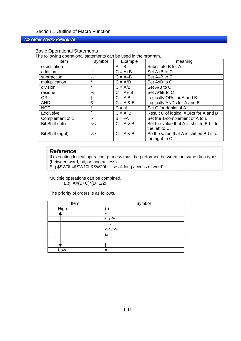#### NS series Macro Reference

#### Basic Operational Statements

The following operational statements can be used in the program.

| Item              | symbol                | Example               | meaning                                  |
|-------------------|-----------------------|-----------------------|------------------------------------------|
| substitution      | $=$                   | $A = B$               | Substitute B for A                       |
| addition          | $\div$                | $C = A + B$           | Set A+B to C                             |
| subtraction       |                       | $C = A-B$             | Set A-B to C                             |
| multiplication    | $\star$               | $C = A^*B$            | Set AxB to C                             |
| division          |                       | $C = A/B$             | Set A/B to C                             |
| residue           | %                     | $C = A\%B$            | Set A%B to C                             |
| <b>OR</b>         |                       | $C = A B$             | Logically ORs for A and B                |
| <b>AND</b>        | &                     | $C = A & B$           | Logically ANDs for A and B               |
| <b>NOT</b>        |                       | $C = !A$              | Set C for denial of A                    |
| Exclusive         | $\overline{ }$        | $C = A \triangle B$   | Result C of logical XORs for A and B     |
| Complement of 1   | $\tilde{\phantom{a}}$ | $B = -A$              | Set the 1-complement of A to B           |
| Bit Shift (left)  | <<                    | $C = A < B$           | Set the value that A is shifted B-bit to |
|                   |                       |                       | the left to C.                           |
| Bit Shift (right) | >>                    | $C = A \rightarrow B$ | Se the value that A is shifted B-bit to  |
|                   |                       |                       | the right to C.                          |

## *Reference*

If executing logical operation, process must be performed between the same data types (between word, bit, or long access)

E.g.\$SW0L=\$SW10L&\$W20L;'Use all long access of word'

Multiple operations can be combined. E.g. A=(B+C)\*(D+E/2)

The priority of orders is as follows.

| Item | Symbol                |
|------|-----------------------|
| High |                       |
|      | $\tilde{\phantom{a}}$ |
|      | $^*, \frac{7}{9}$     |
|      | +,                    |
|      | $\frac{1}{\leq 1}$    |
|      | &                     |
|      | $\hat{\phantom{a}}$   |
|      |                       |
| _OW  |                       |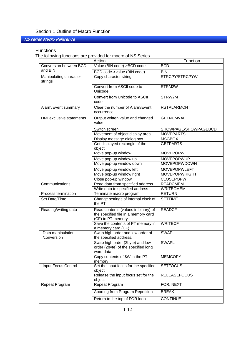## NS series Macro Reference

#### **Functions**

The following functions are provided for macro of NS Series.

|                                   | Action                                                                                           | Function             |
|-----------------------------------|--------------------------------------------------------------------------------------------------|----------------------|
| Conversion between BCD            | Value (BIN code)->BCD code                                                                       | <b>BCD</b>           |
| and BIN                           | BCD code->value (BIN code)                                                                       | <b>BIN</b>           |
| Manipulating character<br>strings | Copy character string                                                                            | STRCPY/STRCPYW       |
|                                   | Convert from ASCII code to<br>Unicode                                                            | STRM2W               |
|                                   | Convert from Unicode to ASCII<br>code                                                            | STRW2M               |
| Alarm/Event summary               | Clear the number of Alarm/Event<br>occurrence                                                    | <b>RSTALARMCNT</b>   |
| HMI exclusive statements          | Output written value and changed<br>value                                                        | <b>GETNUMVAL</b>     |
|                                   | Switch screen                                                                                    | SHOWPAGE/SHOWPAGEBCD |
|                                   | Movement of object display area                                                                  | <b>MOVEPARTS</b>     |
|                                   | Display message dialog box                                                                       | <b>MSGBOX</b>        |
|                                   | Get displayed rectangle of the<br>object                                                         | <b>GETPARTS</b>      |
|                                   | Move pop-up window                                                                               | <b>MOVEPOPW</b>      |
|                                   | Move pop-up window up                                                                            | <b>MOVEPOPWUP</b>    |
|                                   | Move pop-up window down                                                                          | MOVEPOPWDOWN         |
|                                   | Move pop-up window left                                                                          | <b>MOVEPOPWLEFT</b>  |
|                                   | Move pop-up window right                                                                         | <b>MOVEPOPWRIGHT</b> |
|                                   | Close pop-up window                                                                              | <b>CLOSEPOPW</b>     |
| Communications                    | Read data from specified address                                                                 | <b>READCMEM</b>      |
|                                   | Write data to specified address                                                                  | <b>WRITECMEM</b>     |
| Process termination               | Terminate macro program                                                                          | <b>RETURN</b>        |
| Set Date/Time                     | Change settings of internal clock of<br>the PT                                                   | <b>SETTIME</b>       |
| Reading/writing data              | Read contents (values in binary) of<br>the specified file in a memory card<br>(CF) to PT memory. | <b>READCF</b>        |
|                                   | Save the contents of PT memory in<br>a memory card (CF).                                         | <b>WRITECF</b>       |
| Data manipulation<br>/conversion  | Swap high order and low order of<br>the specified address.                                       | <b>SWAP</b>          |
|                                   | Swap high order (2byte) and low<br>order (2byte) of the specified long<br>word data.             | <b>SWAPL</b>         |
|                                   | Copy contents of \$W in the PT<br>memory                                                         | <b>MEMCOPY</b>       |
| Input Focus Control               | Set the input focus for the specified<br>object                                                  | <b>SETFOCUS</b>      |
|                                   | Release the input focus set for the<br>object                                                    | <b>RELEASEFOCUS</b>  |
| Repeat Program                    | Repeat Program                                                                                   | FOR, NEXT            |
|                                   | Aborting from Program Repetition                                                                 | <b>BREAK</b>         |
|                                   | Return to the top of FOR loop.                                                                   | <b>CONTINUE</b>      |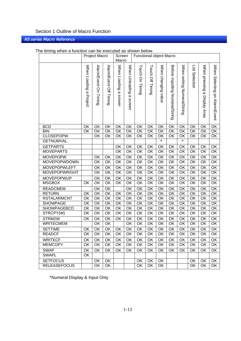## NS series Macro Reference

|                                | Project Macro          |                                   |                           | Screen<br>Macro                    |                                            | Functional object Macro  |                  |                        |                                    |                             |                          |                                 |                               |
|--------------------------------|------------------------|-----------------------------------|---------------------------|------------------------------------|--------------------------------------------|--------------------------|------------------|------------------------|------------------------------------|-----------------------------|--------------------------|---------------------------------|-------------------------------|
|                                |                        |                                   |                           |                                    |                                            |                          |                  |                        |                                    |                             |                          |                                 |                               |
|                                | When Loading a Project | Alarm/Event On Timing             | Alarm/Event Off<br>Timing | When Loading<br>$\omega$<br>screen | When Unloading<br>$\pmb{\omega}$<br>screen | Touch On Timing          | Touch Off Timing | When changing<br>value | Before Inputting<br>Numeral/String | When writing Numeral/String | List Selection           | When pressing<br>a Display Area | When Selecting an Alarm/Event |
| <b>BCD</b>                     | OK                     | OK                                | OK                        | OK                                 | OK                                         | OK                       | OK               | OK                     | OK                                 | OK                          | OK                       | OK                              | OK                            |
| <b>BIN</b>                     | $\overline{OK}$        | $\overline{\overline{\text{OK}}}$ | OK                        | $\overline{OK}$                    | $\overline{OK}$                            | $\overline{\mathsf{OK}}$ | OK               | OK                     | $\overline{\mathsf{OK}}$           | $\overline{\mathsf{OK}}$    | $\overline{OK}$          | $\overline{\mathsf{OK}}$        | $\overline{\mathsf{OK}}$      |
| <b>CLOSEPOPW</b>               |                        | OK                                | OK                        | OK                                 | OK                                         | OK                       | OK               | OK                     | OK                                 | OK                          | OK                       | OK                              | OK                            |
| <b>GETNUMVAL</b>               |                        |                                   |                           |                                    |                                            |                          |                  | $\star$                |                                    | $\star$                     |                          |                                 |                               |
| <b>GETPARTS</b>                |                        |                                   |                           | OK                                 | OK                                         | $\overline{\mathsf{OK}}$ | OK               | OK                     | OK                                 | $\overline{OK}$             | OK                       | OK                              | OK                            |
| <b>MOVEPARTS</b>               |                        |                                   |                           | OK                                 | OK                                         | OK                       | OK               | OK                     | OK                                 | $\overline{OK}$             | OK                       | OK                              | OK                            |
| <b>MOVEPOPW</b>                |                        | OK                                | OK                        | OK                                 | $\overline{OK}$                            | $\overline{OK}$          | OK               | OK                     | OK                                 | OK                          | OK                       | OK                              | OK                            |
| MOVEPOPWDOWN                   |                        | OK                                | OK                        | $\overline{OK}$                    | $\overline{OK}$                            | $\overline{OK}$          | OK               | OK                     | OK                                 | $\overline{OK}$             | $\overline{OK}$          | OK                              | $\overline{OK}$               |
| <b>MOVEPOPWLEFT</b>            |                        | OK                                | OK                        | OK                                 | $\overline{OK}$                            | OK                       | OK               | OK                     | OK                                 | $\overline{\mathsf{OK}}$    | $\overline{OK}$          | OK                              | OK                            |
| <b>MOVEPOPWRIGHT</b>           |                        | OK                                | OK                        | OK                                 | OK                                         | OK                       | OK               | OK                     | OK                                 | $\overline{OK}$             | OK                       | OK                              | OK                            |
| <b>MOVEPOPWUP</b>              |                        | OK                                | OK                        | OK                                 | OK                                         | OK                       | OK               | OK                     | OK                                 | $\overline{OK}$             | OK                       | OK                              | OK                            |
| <b>MSGBOX</b>                  | OK                     | $\overline{\mathsf{OK}}$          | OK                        | $\overline{OK}$                    | $\overline{OK}$                            | OK                       | OK               | OK                     | OK                                 | $\overline{\mathsf{OK}}$    | $\overline{\mathsf{OK}}$ | OK                              | $\overline{\mathsf{OK}}$      |
| <b>READCMEM</b>                |                        | OK                                | OK                        |                                    | OK                                         | OK                       | OK               | OK                     | OK                                 | OK                          | OK                       | OK                              | OK                            |
| <b>RETURN</b>                  | OK                     | OK                                | OK                        | OK                                 | OK                                         | OK                       | OK               | OK                     | OK                                 | OK                          | OK                       | OK                              | OK                            |
| <b>RSTALARMCNT</b>             | OK                     | OK                                | OK                        | OK                                 | OK                                         | OK                       | OK               | OK                     | OK                                 | OK                          | OK                       | OK                              | OK                            |
| <b>SHOWPAGE</b><br>SHOWPAGEBCD | OK<br>OK               | OK<br>OK                          | OK<br>OK                  | OK<br>OK                           | OK<br>OK                                   | OK<br>OK                 | OK<br>OK         | OK<br>OK               | OK<br>OK                           | OK<br>OK                    | OK<br>OK                 | OK<br>OK                        | OK<br>OK                      |
| STRCPY(W)                      | OK                     | OK                                | OK                        | OK                                 | $\overline{\mathsf{OK}}$                   | OK                       | OK               | OK                     | OK                                 | $\overline{\mathsf{OK}}$    | $\overline{OK}$          | OK                              | $\overline{\mathsf{OK}}$      |
| STRM2W                         | OK                     | OK                                | OK                        | OK                                 | OK                                         | OK                       | OK               | OK                     | OK                                 | OK                          | OK                       | OK                              | OK                            |
| <b>WRITECMEM</b>               |                        | OK                                | OK                        |                                    | OK                                         | OK                       | OK               | OK                     | OK                                 | $\overline{OK}$             | OK                       | OK                              | OK                            |
| <b>SETTIME</b>                 | OK                     | OK                                | OK                        | OK                                 | $\overline{OK}$                            | $\overline{OK}$          | OK               | OK                     | OK                                 | $\overline{OK}$             | $\overline{OK}$          | $\overline{OK}$                 | $\overline{OK}$               |
| <b>READCF</b>                  | OK                     | OK                                | OK                        | OK                                 | OK                                         | OK                       | OK               | OK                     | OK                                 | $\overline{OK}$             | OK                       | OK                              | OK                            |
| <b>WRITECF</b>                 | OK                     | OK                                | OK                        | OK.                                | OK                                         | OK                       | OK               | OK                     | OK.                                | OK                          | OK                       | OK                              | OK                            |
| <b>MEMCOPY</b>                 | OK                     | OK                                | OK                        | OK                                 | OK                                         | OK                       | 0K               | OK                     | OK                                 | OK                          | OK                       | OK                              | OK                            |
| <b>SWAP</b>                    | OK                     | OK                                | OK                        | OK                                 | OK                                         | OK                       | OK               | OK                     | OK                                 | OK                          | OK                       | OK                              | OK                            |
| <b>SWAPL</b>                   | OK                     |                                   |                           |                                    |                                            |                          |                  |                        |                                    |                             |                          |                                 |                               |
| <b>SETFOCUS</b>                |                        | OK                                | OK                        |                                    |                                            | OK                       | OK               | OK                     |                                    |                             | OK                       | OK                              | OK                            |
| <b>RELEASEFOCUS</b>            |                        | OK                                | OK                        |                                    |                                            | <b>OK</b>                | OK               | OK                     |                                    |                             | OK                       | OK                              | OK                            |

#### The timing when a function can be executed as shown below.

\*Numeral Display & Input Only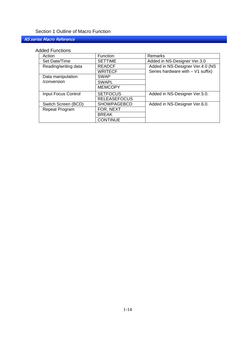## NS series Macro Reference

#### Added Functions

| Action               | <b>Function</b>     | Remarks                           |
|----------------------|---------------------|-----------------------------------|
| Set Date/Time        | <b>SETTIME</b>      | Added in NS-Designer Ver.3.0      |
| Reading/writing data | <b>READCF</b>       | Added in NS-Designer Ver.4.0 (NS  |
|                      | <b>WRITECF</b>      | Series hardware with - V1 suffix) |
| Data manipulation    | <b>SWAP</b>         |                                   |
| /conversion          | <b>SWAPL</b>        |                                   |
|                      | <b>MEMCOPY</b>      |                                   |
| Input Focus Control  | <b>SETFOCUS</b>     | Added in NS-Designer Ver.5.0.     |
|                      | <b>RELEASEFOCUS</b> |                                   |
| Switch Screen (BCD)  | <b>SHOWPAGEBCD</b>  | Added in NS-Designer Ver.6.0.     |
| Repeat Program       | FOR, NEXT           |                                   |
|                      | <b>BREAK</b>        |                                   |
|                      | <b>CONTINUE</b>     |                                   |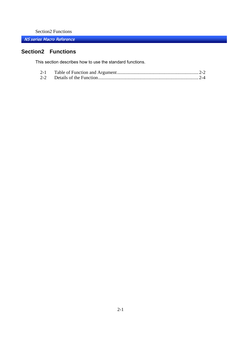NS series Macro Reference

## **Section2 Functions**

This section describes how to use the standard functions.

| $2 - 1$ |  |  |
|---------|--|--|
|         |  |  |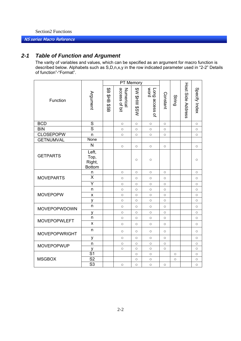#### <span id="page-16-0"></span>NS series Macro Reference

## *2-1 Table of Function and Argument*

The varity of variables and values, which can be specified as an argument for macro function is described below. Alphabets such as S,D,n,x,y in the row indicated parameter used in "2-2" Details of function"-"Format".

|                      |                                          |                       | PT Memory                  |                      |                        |                     |                     |                   |                     |
|----------------------|------------------------------------------|-----------------------|----------------------------|----------------------|------------------------|---------------------|---------------------|-------------------|---------------------|
| Function             | <b>Argument</b>                          | \$B<br>얖<br>문<br>SS\$ | access of bit<br>Numerical | <b>MS\$ MH\$ M\$</b> | Long access of<br>word | Constant            | String              | Host Side Address | Specify Index       |
| <b>BCD</b>           | $\overline{S}$                           |                       | $\circ$                    | $\circ$              | $\circlearrowright$    | $\circ$             |                     |                   | $\circ$             |
| <b>BIN</b>           | $\overline{\mathsf{s}}$                  |                       | $\circ$                    | $\circ$              | $\circ$                | $\circ$             |                     |                   | $\circ$             |
| <b>CLOSEPOPW</b>     | n                                        |                       | $\circlearrowright$        | $\circ$              | $\circlearrowright$    | $\circlearrowright$ |                     |                   | $\circlearrowright$ |
| <b>GETNUMVAL</b>     | None                                     |                       |                            |                      |                        |                     |                     |                   |                     |
|                      | N                                        |                       | $\circ$                    | $\circ$              | $\circ$                | $\circ$             |                     |                   | $\circ$             |
| <b>GETPARTS</b>      | Left,<br>Top,<br>Right,<br><b>Bottom</b> |                       |                            | $\circ$              | $\circ$                |                     |                     |                   | $\circ$             |
|                      | n                                        |                       | $\circ$                    | $\circ$              | $\circlearrowright$    | $\circ$             |                     |                   | $\circ$             |
| <b>MOVEPARTS</b>     | $\overline{\mathsf{x}}$                  |                       | $\circ$                    | $\circ$              | $\circ$                | $\circ$             |                     |                   | $\circ$             |
|                      | Y                                        |                       | $\circlearrowright$        | $\circ$              | $\circ$                | $\circ$             |                     |                   | $\circ$             |
|                      | n                                        |                       | $\circ$                    | $\circ$              | $\circ$                | $\circ$             |                     |                   | $\circ$             |
| <b>MOVEPOPW</b>      | X                                        |                       | $\circ$                    | $\circ$              | $\circlearrowright$    | $\circlearrowright$ |                     |                   | $\circ$             |
|                      | у                                        |                       | $\circ$                    | $\circ$              | $\circ$                | $\circ$             |                     |                   | $\circ$             |
| <b>MOVEPOPWDOWN</b>  | n                                        |                       | $\circ$                    | $\circ$              | $\circ$                | $\circ$             |                     |                   | $\circ$             |
|                      | У                                        |                       | $\circ$                    | $\circ$              | $\circ$                | $\circ$             |                     |                   | $\circ$             |
| <b>MOVEPOPWLEFT</b>  | n                                        |                       | $\circ$                    | $\circ$              | $\circ$                | $\circ$             |                     |                   | $\circ$             |
|                      | X                                        |                       | $\circlearrowright$        | $\circ$              | $\circ$                | $\circ$             |                     |                   | $\circlearrowright$ |
| <b>MOVEPOPWRIGHT</b> | n                                        |                       | $\circlearrowright$        | $\circ$              | $\circ$                | $\circ$             |                     |                   | $\circ$             |
|                      | у                                        |                       | $\circ$                    | $\circ$              | $\circ$                | $\circ$             |                     |                   | $\circ$             |
| <b>MOVEPOPWUP</b>    | n                                        |                       | $\circ$                    | $\circ$              | $\circ$                | $\circlearrowright$ |                     |                   | $\circlearrowright$ |
|                      | V                                        |                       | $\circlearrowright$        | $\circlearrowright$  | $\circ$                | $\circlearrowright$ |                     |                   | $\circlearrowright$ |
|                      | $\overline{S1}$                          |                       |                            | $\circ$              | $\circ$                |                     | $\circ$             |                   | $\circ$             |
| <b>MSGBOX</b>        | $\overline{\text{S2}}$                   |                       |                            | $\circ$              | $\circ$                |                     | $\circlearrowright$ |                   | $\circ$             |
|                      | $\overline{\mathsf{S}3}$                 |                       | $\circ$                    | $\circ$              | $\circ$                | $\circ$             |                     |                   | $\circ$             |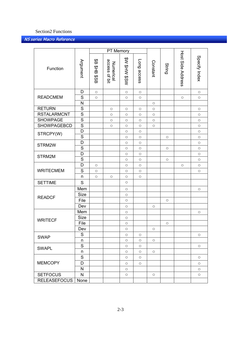|                     |                         |                       | PT Memory                  |                     |                     |                     |                     |                     |                     |
|---------------------|-------------------------|-----------------------|----------------------------|---------------------|---------------------|---------------------|---------------------|---------------------|---------------------|
| Function            | <b>Argument</b>         | \$<br><b>SHB \$SB</b> | Numerical<br>access of bit | WS\$ WH\$ M\$       | Long access         | Constant            | String              | Host Side Address   | Specify Index       |
|                     | D                       | $\circ$               |                            | $\bigcirc$          | $\circ$             |                     |                     |                     | $\circ$             |
| <b>READCMEM</b>     | $\mathbf S$             | $\circ$               |                            | $\bigcirc$          | $\circlearrowright$ |                     |                     | $\circlearrowright$ | $\circ$             |
|                     | N                       |                       |                            |                     |                     | $\circ$             |                     |                     |                     |
| <b>RETURN</b>       | S                       |                       | $\bigcirc$                 | $\bigcirc$          | $\bigcirc$          | $\bigcirc$          |                     |                     | $\bigcirc$          |
| <b>RSTALARMCNT</b>  | $\overline{S}$          |                       | $\bigcirc$                 | $\bigcirc$          | $\circlearrowright$ | $\circlearrowright$ |                     |                     | $\circlearrowright$ |
| <b>SHOWPAGE</b>     | $\overline{\mathsf{s}}$ |                       | $\bigcirc$                 | $\bigcirc$          | $\circlearrowright$ | $\bigcirc$          |                     |                     | $\circ$             |
| <b>SHOWPAGEBCD</b>  | ${\mathsf S}$           |                       | $\bigcirc$                 | $\bigcirc$          | $\bigcirc$          | $\bigcirc$          |                     |                     | $\circ$             |
| STRCPY(W)           | D                       |                       |                            | $\bigcirc$          | $\circlearrowright$ |                     |                     |                     | $\circ$             |
|                     | S                       |                       |                            | $\bigcirc$          | $\circlearrowright$ |                     | $\circlearrowright$ |                     | $\bigcirc$          |
| STRM2W              | D                       |                       |                            | $\bigcirc$          | $\circ$             |                     |                     |                     | $\circ$             |
|                     | S                       |                       |                            | $\circlearrowright$ | $\circlearrowright$ |                     | $\circlearrowright$ |                     | $\bigcirc$          |
| STRM2M              | D                       |                       |                            | $\bigcirc$          | $\bigcirc$          |                     |                     |                     | $\circ$             |
|                     | ${\mathsf S}$           |                       |                            | $\circlearrowright$ | $\circ$             |                     | $\bigcirc$          |                     | $\circ$             |
|                     | D                       | $\circ$               |                            | $\bigcirc$          | $\bigcirc$          |                     |                     | $\circ$             | $\circ$             |
| <b>WRITECMEM</b>    | S                       | $\circ$               |                            | $\circ$             | $\circ$             |                     |                     |                     | $\circ$             |
|                     | n                       | $\circ$               | $\bigcirc$                 | $\bigcirc$          | $\bigcirc$          |                     |                     |                     |                     |
| <b>SETTIME</b>      | $\mathbf S$             |                       |                            | $\circlearrowright$ |                     |                     |                     |                     |                     |
|                     | Mem                     |                       |                            | $\bigcirc$          |                     |                     |                     |                     | $\bigcirc$          |
| <b>READCF</b>       | <b>Size</b>             |                       |                            | $\bigcirc$          |                     |                     |                     |                     |                     |
|                     | File                    |                       |                            | $\bigcirc$          |                     |                     | $\bigcirc$          |                     |                     |
|                     | Dev                     |                       |                            | $\bigcirc$          |                     | $\circlearrowright$ |                     |                     |                     |
|                     | Mem                     |                       |                            | $\bigcirc$          |                     |                     |                     |                     | $\bigcirc$          |
| <b>WRITECF</b>      | <b>Size</b>             |                       |                            | $\circlearrowright$ |                     |                     |                     |                     |                     |
|                     | File                    |                       |                            | $\circlearrowright$ |                     |                     | $\circlearrowright$ |                     |                     |
|                     | Dev                     |                       |                            | $\circ$             |                     | $\circ$             |                     |                     |                     |
| <b>SWAP</b>         | ${\mathsf S}$           |                       |                            | $\circlearrowright$ | $\bigcirc$          |                     |                     |                     | $\circlearrowright$ |
|                     | $\sf n$                 |                       |                            | $\circlearrowright$ | $\circlearrowright$ | $\circ$             |                     |                     |                     |
| <b>SWAPL</b>        | $\mathbf S$             |                       |                            | $\circ$             | $\circ$             |                     |                     |                     | $\circ$             |
|                     | n                       |                       |                            | $\bigcirc$          | $\bigcirc$          | $\circ$             |                     |                     |                     |
|                     | ${\mathsf S}$           |                       |                            | $\circlearrowright$ | $\circlearrowright$ |                     |                     |                     | $\bigcirc$          |
| <b>MEMCOPY</b>      | D                       |                       |                            | $\bigcirc$          | $\circlearrowright$ |                     |                     |                     | $\circlearrowright$ |
|                     | N                       |                       |                            | $\bigcirc$          |                     |                     |                     |                     | $\circlearrowright$ |
| <b>SETFOCUS</b>     | $\mathsf{N}$            |                       |                            | $\circlearrowright$ |                     | $\circlearrowright$ |                     |                     | $\circlearrowright$ |
| <b>RELEASEFOCUS</b> | None                    |                       |                            |                     |                     |                     |                     |                     |                     |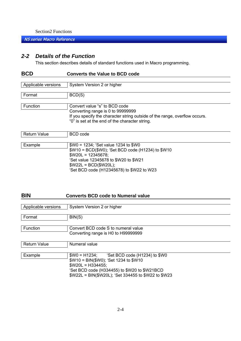<span id="page-18-0"></span>NS series Macro Reference

## *2-2 Details of the Function*

This section describes details of standard functions used in Macro programming.

ëSet BCD code (H12345678) to \$W22 to W23

| <b>BCD</b>          | <b>Converts the Value to BCD code</b>                                      |
|---------------------|----------------------------------------------------------------------------|
|                     |                                                                            |
| Applicable versions | System Version 2 or higher                                                 |
|                     |                                                                            |
| Format              | BCD(S)                                                                     |
| Function            | Convert value "s" to BCD code                                              |
|                     | Converting range is 0 to 99999999                                          |
|                     | If you specify the character string outside of the range, overflow occurs. |
|                     | "0" is set at the end of the character string.                             |
|                     |                                                                            |
| <b>Return Value</b> | <b>BCD</b> code                                                            |
|                     |                                                                            |
| Example             | $W0 = 1234$ ; 'Set value 1234 to \$W0                                      |
|                     | \$W10 = BCD(\$W0); 'Set BCD code (H1234) to \$W10                          |
|                     | $W20L = 12345678$ ;                                                        |
|                     | 'Set value 12345678 to \$W20 to \$W21                                      |
|                     | $W22L = BCD(\$W20L);$                                                      |

## **BIN Converts BCD code to Numeral value**

| Applicable versions | System Version 2 or higher                                    |
|---------------------|---------------------------------------------------------------|
|                     |                                                               |
| Format              | BIN(S)                                                        |
|                     |                                                               |
| Function            | Convert BCD code S to numeral value                           |
|                     | Converting range is H0 to H99999999                           |
|                     |                                                               |
| <b>Return Value</b> | Numeral value                                                 |
|                     |                                                               |
| Example             | $W0 = H1234$ ;<br>'Set BCD code (H1234) to \$W0               |
|                     | \$W10 = BIN(\$W0); 'Set 1234 to \$W10                         |
|                     | $W20L = H334455$ ;                                            |
|                     | $(0.1$ DOD $\ldots$ $1.10011$ FF) $1.011001$ . AND $(1.0101)$ |

ëSet BCD code (H334455) to \$W20 to \$W21BCD \$W22L = BIN(\$W20L); ëSet 334455 to \$W22 to \$W23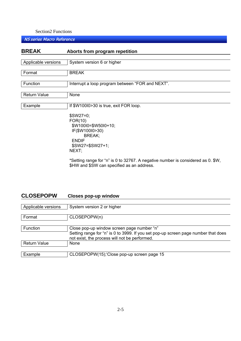NS series Macro Reference

| <b>BREAK</b>        | Aborts from program repetition                                                                                                 |
|---------------------|--------------------------------------------------------------------------------------------------------------------------------|
|                     |                                                                                                                                |
| Applicable versions | System version 6 or higher                                                                                                     |
| Format              | <b>BREAK</b>                                                                                                                   |
| Function            | Interrupt a loop program between "FOR and NEXT".                                                                               |
| <b>Return Value</b> | None                                                                                                                           |
| Example             | If \$W10010>30 is true, exit FOR loop.                                                                                         |
|                     | $$SW27=0;$<br>FOR(10)<br>\$W100I0=\$W50I0+10;<br>IF(\$W100I0>30)<br>BREAK;<br><b>ENDIF</b><br>$$SW27 = $SW27 + 1;$<br>NEXT;    |
|                     | *Setting range for "n" is 0 to 32767. A negative number is considered as 0. \$W,<br>\$HW and \$SW can specified as an address. |

## **CLOSEPOPW Closes pop-up window**

| Applicable versions | System version 2 or higher                                                                                                                                                        |
|---------------------|-----------------------------------------------------------------------------------------------------------------------------------------------------------------------------------|
| Format              | CLOSEPOPW(n)                                                                                                                                                                      |
| Function            | Close pop-up window screen page number "n"<br>Setting range for "n" is 0 to 3999. If you set pop-up screen page number that does<br>not exist, the process will not be performed. |
| <b>Return Value</b> | <b>None</b>                                                                                                                                                                       |
| Example             | CLOSEPOPW(15); Close pop-up screen page 15                                                                                                                                        |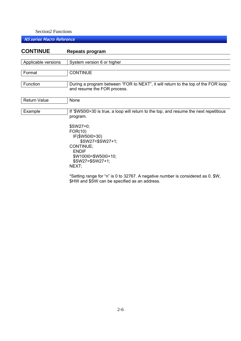| <b>CONTINUE</b>     | Repeats program                                                                                                                     |
|---------------------|-------------------------------------------------------------------------------------------------------------------------------------|
|                     |                                                                                                                                     |
| Applicable versions | System version 6 or higher                                                                                                          |
| Format              | <b>CONTINUE</b>                                                                                                                     |
| Function            | During a program between "FOR to NEXT", it will return to the top of the FOR loop<br>and resume the FOR process.                    |
| <b>Return Value</b> | None                                                                                                                                |
| Example             | If '\$W50I0>30 is true, a loop will return to the top, and resume the next repetitious<br>program.<br>\$SW27=0;                     |
|                     | FOR(10)<br>IF(\$W5010>30)<br>\$SW27=\$SW27+1;<br>CONTINUE;<br><b>ENDIF</b><br>\$W100I0=\$W50I0+10;<br>$$SW27 = $SW27 + 1;$<br>NEXT; |
|                     | *Setting range for "n" is 0 to 32767. A negative number is considered as 0. \$W,<br>\$HW and \$SW can be specified as an address.   |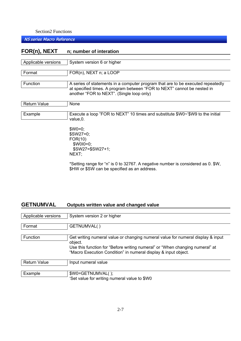NS series Macro Reference

## **FOR(n), NEXT n; number of interation**

| Applicable versions | System version 6 or higher                                                                                                                                                                              |
|---------------------|---------------------------------------------------------------------------------------------------------------------------------------------------------------------------------------------------------|
| Format              | FOR(n), NEXT n; a LOOP                                                                                                                                                                                  |
| Function            | A series of statements in a computer program that are to be executed repeatedly<br>at specified times. A program between "FOR to NEXT" cannot be nested in<br>another "FOR to NEXT". (Single loop only) |
| <b>Return Value</b> | None                                                                                                                                                                                                    |
| Example             | Execute a loop "FOR to NEXT" 10 times and substitute \$W0~'\$W9 to the initial<br>value, 0.                                                                                                             |
|                     | $$WO=0$                                                                                                                                                                                                 |

\$SW27=0; FOR(10)  $$W0I0=0;$  \$SW27=\$SW27+1; NEXT;

\*Setting range for "n" is 0 to 32767. A negative number is considered as 0. \$W, \$HW or \$SW can be specified as an address.

## **GETNUMVAL Outputs written value and changed value**

| Applicable versions | System version 2 or higher                                                                                                                                                                                                                   |
|---------------------|----------------------------------------------------------------------------------------------------------------------------------------------------------------------------------------------------------------------------------------------|
| Format              | GETNUMVAL()                                                                                                                                                                                                                                  |
| Function            | Get writing numeral value or changing numeral value for numeral display & input<br>object.<br>Use this function for "Before writing numeral" or "When changing numeral" at<br>"Macro Execution Condition" in numeral display & input object. |
| <b>Return Value</b> | Input numeral value                                                                                                                                                                                                                          |
| Example             | \$W0=GETNUMVAL();<br>'Set value for writing numeral value to \$W0                                                                                                                                                                            |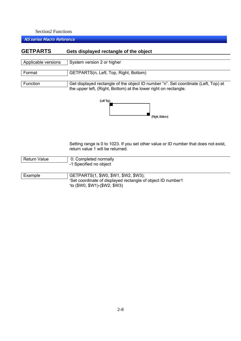NS series Macro Reference

## **GETPARTS Gets displayed rectangle of the object** Applicable versions | System version 2 or higher Format GETPARTS(n, Left, Top, Right, Bottom) Function Get displayed rectangle of the object ID number "n". Set coordinate (Left, Top) at the upper left, (Right, Bottom) at the lower right on rectangle. (Left Top) (Right, Bottom)

Setting range is 0 to 1023. If you set other value or ID number that does not exist, return value 1 will be returned.

| Return Value | 0: Completed normally  |
|--------------|------------------------|
|              | -1:Specified no object |

| Example | GETPARTS(1, \$W0, \$W1, \$W2, \$W3);                        |
|---------|-------------------------------------------------------------|
|         | 'Set coordinate of displayed rectangle of object ID number1 |
|         | $'(to ($W0, $W1)-($W2, $W3))$                               |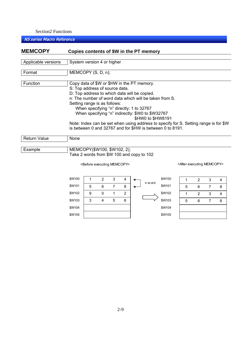\$W102 \$W103 \$W104 \$W105 9 0 1 2 3 4 5 6

## NS series Macro Reference

| <b>MEMCOPY</b>      |                                                                                                                                                                   |                                          |        |                     |   |  | Copies contents of \$W in the PT memory                               |                                                                                                                     |                                                                                      |        |                     |        |
|---------------------|-------------------------------------------------------------------------------------------------------------------------------------------------------------------|------------------------------------------|--------|---------------------|---|--|-----------------------------------------------------------------------|---------------------------------------------------------------------------------------------------------------------|--------------------------------------------------------------------------------------|--------|---------------------|--------|
| Applicable versions | System version 4 or higher                                                                                                                                        |                                          |        |                     |   |  |                                                                       |                                                                                                                     |                                                                                      |        |                     |        |
| Format              | MEMCOPY (S, D, n);                                                                                                                                                |                                          |        |                     |   |  |                                                                       |                                                                                                                     |                                                                                      |        |                     |        |
| Function            | Copy data of \$W or \$HW in the PT memory.<br>S: Top address of source data.<br>D: Top address to which data will be copied.<br>Setting range is as follows:      | When specifying "n" directly: 1 to 32767 |        |                     |   |  | When specifying "n" indirectly: \$W0 to \$W32767<br>\$HW0 to \$HW8191 | n: The number of word data which will be taken from S.<br>is between 0 and 32767 and for \$HW is between 0 to 8191. | Note: Index can be set when using address to specify for S. Setting range is for \$W |        |                     |        |
| <b>Return Value</b> | None                                                                                                                                                              |                                          |        |                     |   |  |                                                                       |                                                                                                                     |                                                                                      |        |                     |        |
| Example             | MEMCOPY(\$W100, \$W102, 2);<br>Take 2 words from \$W 100 and copy to 102<br><after executing="" memcopy=""><br/><before executing="" memcopy=""></before></after> |                                          |        |                     |   |  |                                                                       |                                                                                                                     |                                                                                      |        |                     |        |
|                     | \$W100<br>\$W101                                                                                                                                                  | 1<br>5                                   | 2<br>6 | 3<br>$\overline{7}$ | 8 |  | n w ord                                                               | \$W100<br>\$W101                                                                                                    | 1<br>5                                                                               | 2<br>6 | 3<br>$\overline{7}$ | 4<br>8 |

\$W102 \$W103 \$W104 \$W105

1 2 3 4 5 6 7 8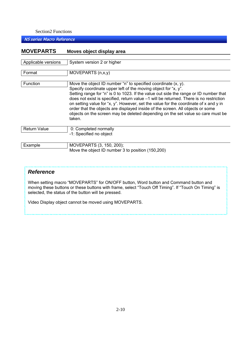NS series Macro Reference

| <b>MOVEPARTS</b>    | Moves object display area                                                                                                                                                                                                                                                                                                                                                                                                                                                                                                                                                                    |
|---------------------|----------------------------------------------------------------------------------------------------------------------------------------------------------------------------------------------------------------------------------------------------------------------------------------------------------------------------------------------------------------------------------------------------------------------------------------------------------------------------------------------------------------------------------------------------------------------------------------------|
|                     |                                                                                                                                                                                                                                                                                                                                                                                                                                                                                                                                                                                              |
| Applicable versions | System version 2 or higher                                                                                                                                                                                                                                                                                                                                                                                                                                                                                                                                                                   |
| Format              | MOVEPARTS $(n, x, y)$                                                                                                                                                                                                                                                                                                                                                                                                                                                                                                                                                                        |
| Function            | Move the object ID number "n" to specified coordinate $(x, y)$ .<br>Specify coordinate upper left of the moving object for "x, y".<br>Setting range for "n" is 0 to 1023. If the value out side the range or ID number that<br>does not exist is specified, return value -1 will be returned. There is no restriction<br>on setting value for "x, y". However, set the value for the coordinate of x and y in<br>order that the objects are displayed inside of the screen. All objects or some<br>objects on the screen may be deleted depending on the set value so care must be<br>taken. |
| <b>Return Value</b> | 0: Completed normally<br>-1: Specified no object                                                                                                                                                                                                                                                                                                                                                                                                                                                                                                                                             |
| Example             | MOVEPARTS (3, 150, 200);<br>Move the object ID number 3 to position (150,200)                                                                                                                                                                                                                                                                                                                                                                                                                                                                                                                |

## *Reference*

When setting macro "MOVEPARTS" for ON/OFF button, Word button and Command button and moving these buttons or these buttons with frame, select "Touch Off Timing". If "Touch On Timing" is selected, the status of the button will be pressed.

Video Display object cannot be moved using MOVEPARTS.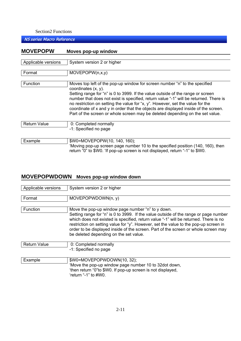#### NS series Macro Reference

## **MOVEPOPW Moves pop-up window** Applicable versions  $\vert$  System version 2 or higher Format MOVEPOPW(n,x,y) Function Moves top left of the pop-up window for screen number "n" to the specified coordinates (x, y). Setting range for "n" is 0 to 3999. If the value outside of the range or screen number that does not exist is specified, return value "-1" will be returned. There is no restriction on setting the value for "x, y". However, set the value for the coordinate of x and y in order that the objects are displayed inside of the screen. Part of the screen or whole screen may be deleted depending on the set value. Return Value | 0: Completed normally -1: Specified no page Example  $\vert$  \$W0=MOVEPOPW(10, 140, 160); 'Moving pop-up screen page number 10 to the specified position (140, 160), then return "0" to \$W0. 'If pop-up screen is not displayed, return "-1" to \$W0.

## **MOVEPOPWDOWN Moves pop-up window down**

| Applicable versions | System version 2 or higher                                                                                                                                                                                                                                                                                                                                                                                                                                |
|---------------------|-----------------------------------------------------------------------------------------------------------------------------------------------------------------------------------------------------------------------------------------------------------------------------------------------------------------------------------------------------------------------------------------------------------------------------------------------------------|
| Format              | MOVEPOPWDOWN(n, y)                                                                                                                                                                                                                                                                                                                                                                                                                                        |
| Function            | Move the pop-up window page number "n" to y down.<br>Setting range for "n" is 0 to 3999. If the value outside of the range or page number<br>which does not existed is specified, return value "-1" will be returned. There is no<br>restriction on setting value for "y". However, set the value to the pop-up screen in<br>order to be displayed inside of the screen. Part of the screen or whole screen may<br>be deleted depending on the set value. |
| <b>Return Value</b> | 0: Completed normally<br>-1: Specified no page                                                                                                                                                                                                                                                                                                                                                                                                            |

| Example | $$WO=MOVEPOPWDOWN(10, 32);$                                                                                                                   |
|---------|-----------------------------------------------------------------------------------------------------------------------------------------------|
|         | 'Move the pop-up window page number 10 to 32 dot down,<br>then return "0" to \$W0. If pop-up screen is not displayed,<br>'return "-1" to #W0. |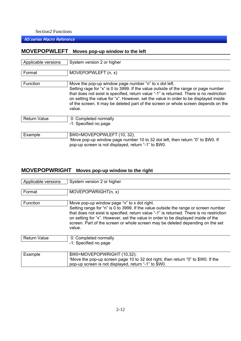#### NS series Macro Reference

## **MOVEPOPWLEFT Moves pop-up window to the left**

| Applicable versions | System version 2 or higher                                                                                                                                                                                                                                                                                                                                                                                                       |
|---------------------|----------------------------------------------------------------------------------------------------------------------------------------------------------------------------------------------------------------------------------------------------------------------------------------------------------------------------------------------------------------------------------------------------------------------------------|
| Format              | MOVEPOPWLEFT (n, x)                                                                                                                                                                                                                                                                                                                                                                                                              |
| Function            | Move the pop-up window page number "n" to x dot left.<br>Setting rage for "x" is 0 to 3999. If the value outside of the range or page number<br>that does not exist is specified, return value "-1" is returned. There is no restriction<br>on setting the value for "x". However, set the value in order to be displayed inside<br>of the screen. It may be deleted part of the screen or whole screen depends on the<br>value. |
| <b>Return Value</b> | 0: Completed normally<br>-1: Specified no page                                                                                                                                                                                                                                                                                                                                                                                   |
| Example             | \$W0=MOVEPOPWLEFT (10, 32);<br>'Move pop-up window page number 10 to 32 dot left, then return "0" to \$W0. If<br>pop-up screen is not displayed, return "-1" to \$W0.                                                                                                                                                                                                                                                            |

## **MOVEPOPWRIGHT Moves pop-up window to the right**

| Applicable versions | System version 2 or higher                                                                                                                                                                                                                                                                                                                                                                                      |
|---------------------|-----------------------------------------------------------------------------------------------------------------------------------------------------------------------------------------------------------------------------------------------------------------------------------------------------------------------------------------------------------------------------------------------------------------|
| Format              | MOVEPOPWRIGHT(n, x)                                                                                                                                                                                                                                                                                                                                                                                             |
| Function            | Move pop-up window page "n" to x dot right.<br>Setting range for "n" is 0 to 3999. If the value outside the range or screen number<br>that does not exist is specified, return value "-1" is returned. There is no restriction<br>on setting for "x". However, set the value in order to be displayed inside of the<br>screen. Part of the screen or whole screen may be deleted depending on the set<br>value. |
| <b>Return Value</b> | 0: Completed normally<br>-1: Specified no page                                                                                                                                                                                                                                                                                                                                                                  |
| Evampla             | $\mathcal{L}(M)$ THAN EDODM DICUT (10.32).                                                                                                                                                                                                                                                                                                                                                                      |

| Example | ! \$W0=MOVEPOPWRIGHT (10,32);                                                      |
|---------|------------------------------------------------------------------------------------|
|         | ' 'Move the pop-up screen page 10 to 32 dot right, then return "0" to \$W0. If the |
|         | pop-up screen is not displayed, return "-1" to \$W0.                               |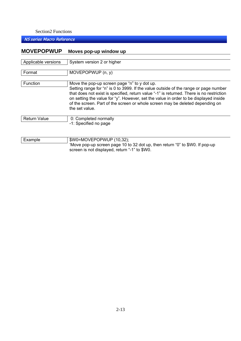## NS series Macro Reference

## **MOVEPOPWUP Moves pop-up window up**

| Applicable versions | System version 2 or higher                                                                                                                                                                                                                                                                                                                                                                                                  |
|---------------------|-----------------------------------------------------------------------------------------------------------------------------------------------------------------------------------------------------------------------------------------------------------------------------------------------------------------------------------------------------------------------------------------------------------------------------|
|                     |                                                                                                                                                                                                                                                                                                                                                                                                                             |
| Format              | MOVEPOPWUP (n, y)                                                                                                                                                                                                                                                                                                                                                                                                           |
| <b>Function</b>     | Move the pop-up screen page "n" to y dot up.<br>Setting range for "n" is 0 to 3999. If the value outside of the range or page number<br>that does not exist is specified, return value "-1" is returned. There is no restriction<br>on setting the value for "y". However, set the value in order to be displayed inside<br>of the screen. Part of the screen or whole screen may be deleted depending on<br>the set value. |
| <b>Return Value</b> | 0: Completed normally<br>-1: Specified no page                                                                                                                                                                                                                                                                                                                                                                              |

| Example | \$W0=MOVEPOPWUP (10,32);                                                     |  |
|---------|------------------------------------------------------------------------------|--|
|         | 'Move pop-up screen page 10 to 32 dot up, then return "0" to \$W0. If pop-up |  |
|         | screen is not displayed, return "-1" to \$W0.                                |  |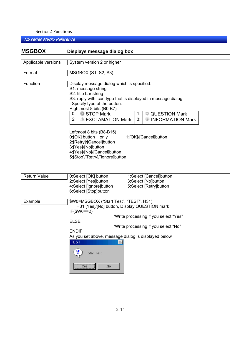| <b>MSGBOX</b>       | Displays message dialog box                                                                                                                                                                                                                                                                                                                                                                                                                                                                                                                |  |
|---------------------|--------------------------------------------------------------------------------------------------------------------------------------------------------------------------------------------------------------------------------------------------------------------------------------------------------------------------------------------------------------------------------------------------------------------------------------------------------------------------------------------------------------------------------------------|--|
| Applicable versions | System version 2 or higher                                                                                                                                                                                                                                                                                                                                                                                                                                                                                                                 |  |
| Format              | MSGBOX (S1, S2, S3)                                                                                                                                                                                                                                                                                                                                                                                                                                                                                                                        |  |
| Function            | Display message dialog which is specified.<br>S1: message string<br>S2: title bar string<br>S3: reply with icon type that is displayed in message dialog<br>Specify type of the button.<br>Rightmost 8 bits (B0-B7)<br>1:<br>STOP Mark<br><b>QUESTION Mark</b><br>0:<br>2:<br>3:<br><b>EXCLAMATION Mark</b><br><b>INFORMATION Mark</b><br>⊕<br>Leftmost 8 bits (B8-B15)<br>0:[OK] button only<br>1:[OK]/[Cancel]button<br>2:[Retry]/[Cancel]button<br>3:[Yes]/[No]button<br>4:[Yes]/[No]/[Cancel]button<br>5:[Stop]/[Retry]/[Ignore]button |  |
| <b>Return Value</b> | 0:Select [OK] button<br>1:Select [Cancel]button<br>2:Select [Yes]button<br>3:Select [No]button<br>4:Select [Ignore]button<br>5:Select [Retry]button<br>6:Select [Stop]button                                                                                                                                                                                                                                                                                                                                                               |  |
| Example             | \$W0=MSGBOX ("Start Test", "TEST", H31);<br>'H31:[Yes]/[No] button, Display QUESTION mark<br>$IF($WO==2)$<br>"Write processing if you select "Yes"<br><b>ELSE</b><br>'Write processing if you select "No"<br><b>ENDIF</b><br>As you set above, message dialog is displayed below<br><b>TEST</b><br>$\mathbb{X}$<br><b>Start Test</b><br>No<br>Yes                                                                                                                                                                                          |  |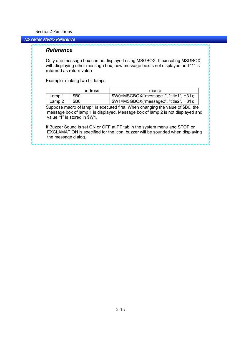#### NS series Macro Reference

#### *Reference*

Only one message box can be displayed using MSGBOX. If executing MSGBOX with displaying other message box, new message box is not displayed and "1" is returned as return value.

Example: making two bit lamps

|        | address | macro                                   |
|--------|---------|-----------------------------------------|
| Lamp 1 | \$B0    | \$W0=MSGBOX("message1", "title1", H31); |
| Lamp 2 | \$B0    | \$W1=MSGBOX("message2", "title2", H31); |

Suppose macro of lamp1 is executed first. When changing the value of \$B0, the message box of lamp 1 is displayed. Message box of lamp 2 is not displayed and value "1" is stored in \$W1.

If Buzzer Sound is set ON or OFF at PT tab in the system menu and STOP or EXCLAMATION is specified for the icon, buzzer will be sounded when displaying the message dialog.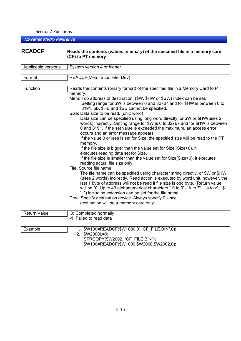NS series Macro Reference

## READCF Reads the contents (values in binary) of the specified file in a memory card  **(CF) to PT memory**

| Applicable versions | System version 4 or higher                                                                                                 |
|---------------------|----------------------------------------------------------------------------------------------------------------------------|
|                     |                                                                                                                            |
| Format              | READCF(Mem, Size, File, Dev)                                                                                               |
|                     |                                                                                                                            |
| Function            | Reads the contents (binary format) of the specified file in a Memory Card to PT                                            |
|                     | memory.                                                                                                                    |
|                     | Mem: Top address of destination. (\$W, \$HW or \$SW) Index can be set.                                                     |
|                     | Setting range for \$W is between 0 and 32767 and for \$HW is between 0 to<br>8191. \$B, \$HB and \$SB cannot be specified. |
|                     | Size: Data size to be read. (unit: word)                                                                                   |
|                     | Data size can be specified using long word directly, or \$W or \$HW (uses 2                                                |
|                     | words) indirectly. Setting range for \$W is 0 to 32767 and for \$HW is between                                             |
|                     | 0 and 8191. If the set value is exceeded the maximum, an access error                                                      |
|                     | occurs and an error message appears.                                                                                       |
|                     | If the value 0 or less is set for Size, the specified size will be read to the PT                                          |
|                     | memory.                                                                                                                    |
|                     | If the file size is bigger than the value set for Size (Size>0), it                                                        |
|                     | executes reading data set for Size.                                                                                        |
|                     | If the file size is smaller than the value set for Size(Size>0), it executes<br>reading actual file size only.             |
|                     | File: Source file name                                                                                                     |
|                     | The file name can be specified using character string directly, or \$W or \$HW                                             |
|                     | (uses 2 words) indirectly. Read action is executed by word unit, however, the                                              |
|                     | last 1 byte of address will not be read if file size is odd byte. (Return value                                            |
|                     | will be 0). Up to 43 alphanumerical characters ("0 to 9", "A to $Z$ ", "a to $Z$ ", " $\mathfrak{F}$ ",                    |
|                     | "_") including extension can be set for the file name.                                                                     |
|                     | Dev: Specify destination device. Always specify 0 since                                                                    |
|                     | destination will be a memory card only.                                                                                    |
| <b>Return Value</b> | 0: Completed normally                                                                                                      |
|                     | -1: Failed to read data                                                                                                    |
|                     |                                                                                                                            |
| Example             | 1. \$W100=READCF(\$W1000,0", CF FILE.BIN",0);                                                                              |
|                     | 2. \$W2000L=0;                                                                                                             |
|                     | STRCOPY(\$W2002, "CF FILE.BIN");                                                                                           |

\$W100=READCF(\$W1000,\$W2000,\$W2002,0);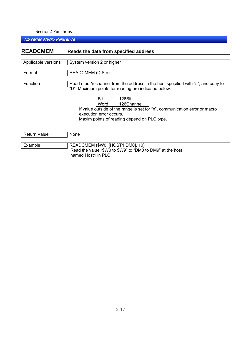| <b>READCMEM</b>     | Reads the data from specified address                                                                                                                                                                                                                                                                                                    |  |
|---------------------|------------------------------------------------------------------------------------------------------------------------------------------------------------------------------------------------------------------------------------------------------------------------------------------------------------------------------------------|--|
| Applicable versions | System version 2 or higher                                                                                                                                                                                                                                                                                                               |  |
| Format              | READCMEM (D,S,n)                                                                                                                                                                                                                                                                                                                         |  |
| Function            | Read n but/n channel from the address in the host specified with "s", and copy to<br>"D". Maximum points for reading are indicated below.<br>126Bit<br>Bit<br>Word<br>126Channel<br>If value outside of the range is set for "n", communication error or macro<br>execution error occurs.<br>Maxim points of reading depend on PLC type. |  |
| <b>Return Value</b> | None                                                                                                                                                                                                                                                                                                                                     |  |
| Example             | READCMEM (\$W0, [HOST1:DM0], 10)<br>'Read the value "\$W0 to \$W9" to "DM0 to DM9" at the host<br>'named Host1 in PLC.                                                                                                                                                                                                                   |  |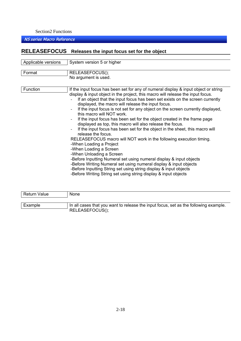## NS series Macro Reference

## **RELEASEFOCUS Releases the input focus set for the object**

| Applicable versions | System version 5 or higher                                                                                                                                                                                                                                                                                                                                                                                                                                                                                                                                                                                                                                                                                                                                                                                                                                                                                                                                                                                                                                                                                              |
|---------------------|-------------------------------------------------------------------------------------------------------------------------------------------------------------------------------------------------------------------------------------------------------------------------------------------------------------------------------------------------------------------------------------------------------------------------------------------------------------------------------------------------------------------------------------------------------------------------------------------------------------------------------------------------------------------------------------------------------------------------------------------------------------------------------------------------------------------------------------------------------------------------------------------------------------------------------------------------------------------------------------------------------------------------------------------------------------------------------------------------------------------------|
| Format              | RELEASEFOCUS();<br>No argument is used.                                                                                                                                                                                                                                                                                                                                                                                                                                                                                                                                                                                                                                                                                                                                                                                                                                                                                                                                                                                                                                                                                 |
| Function            | If the input focus has been set for any of numeral display & input object or string<br>display & input object in the project, this macro will release the input focus.<br>If an object that the input focus has been set exists on the screen currently<br>displayed, the macro will release the input focus.<br>If the input focus is not set for any object on the screen currently displayed,<br>this macro will NOT work.<br>If the input focus has been set for the object created in the frame page<br>displayed as top, this macro will also release the focus.<br>If the input focus has been set for the object in the sheet, this macro will<br>release the focus<br>RELEASEFOCUS macro will NOT work in the following execution timing.<br>-When Loading a Project<br>-When Loading a Screen<br>-When Unloading a Screen<br>-Before Inputting Numeral set using numeral display & input objects<br>-Before Writing Numeral set using numeral display & input objects<br>-Before Inputting String set using string display & input objects<br>-Before Writing String set using string display & input objects |

| Return Value | <b>None</b>                                                                          |
|--------------|--------------------------------------------------------------------------------------|
|              |                                                                                      |
| Example      | In all cases that you want to release the input focus, set as the following example. |
|              | RELEASEFOCUS();                                                                      |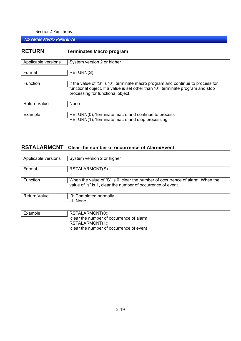NS series Macro Reference

| If the value of "S" is "0", terminate macro program and continue to process for |
|---------------------------------------------------------------------------------|
| functional object. If a value is set other than "0", terminate program and stop |
|                                                                                 |
|                                                                                 |
|                                                                                 |
|                                                                                 |
|                                                                                 |
|                                                                                 |
|                                                                                 |

## **RSTALARMCNT Clear the number of occurrence of Alarm/Event**

| Applicable versions | System version 2 or higher                                                                                                                   |
|---------------------|----------------------------------------------------------------------------------------------------------------------------------------------|
| Format              | RSTALARMCNT(S)                                                                                                                               |
| Function            | When the value of "S" is 0, clear the number of occurrence of alarm. When the<br>value of "s" is 1, clear the number of occurrence of event. |
| <b>Return Value</b> | 0: Completed normally<br>$-1$ : None                                                                                                         |
| Example             | RSTALARMCNT(0);<br>'clear the number of occurrence of alarm<br>RSTALARMCNT(1);<br>'clear the number of occurrence of event                   |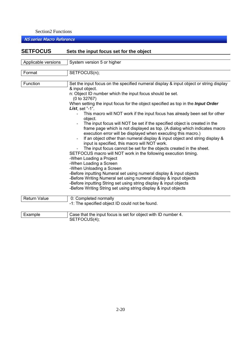| <b>SETFOCUS</b>     | Sets the input focus set for the object                                                                                                                                                                                                                                                                                                                                                                                                                                                                                                                                                                                                                                                                                                                                                                                                                                                                                                                                                                                                                                                                                                                                                              |  |
|---------------------|------------------------------------------------------------------------------------------------------------------------------------------------------------------------------------------------------------------------------------------------------------------------------------------------------------------------------------------------------------------------------------------------------------------------------------------------------------------------------------------------------------------------------------------------------------------------------------------------------------------------------------------------------------------------------------------------------------------------------------------------------------------------------------------------------------------------------------------------------------------------------------------------------------------------------------------------------------------------------------------------------------------------------------------------------------------------------------------------------------------------------------------------------------------------------------------------------|--|
|                     |                                                                                                                                                                                                                                                                                                                                                                                                                                                                                                                                                                                                                                                                                                                                                                                                                                                                                                                                                                                                                                                                                                                                                                                                      |  |
| Applicable versions | System version 5 or higher                                                                                                                                                                                                                                                                                                                                                                                                                                                                                                                                                                                                                                                                                                                                                                                                                                                                                                                                                                                                                                                                                                                                                                           |  |
| Format              | SETFOCUS(n);                                                                                                                                                                                                                                                                                                                                                                                                                                                                                                                                                                                                                                                                                                                                                                                                                                                                                                                                                                                                                                                                                                                                                                                         |  |
| Function            | Set the input focus on the specified numeral display & input object or string display<br>& input object.<br>n: Object ID number which the input focus should be set.<br>(0 to 32767)<br>When setting the input focus for the object specified as top in the <i>Input Order</i><br>List, set $"$ -1".<br>This macro will NOT work if the input focus has already been set for other<br>object.<br>The input focus will NOT be set if the specified object is created in the<br>frame page which is not displayed as top. (A dialog which indicates macro<br>execution error will be displayed when executing this macro.)<br>If an object other than numeral display & input object and string display &<br>input is specified, this macro will NOT work.<br>The input focus cannot be set for the objects created in the sheet.<br>SETFOCUS macro will NOT work in the following execution timing.<br>-When Loading a Project<br>-When Loading a Screen<br>-When Unloading a Screen<br>-Before inputting Numeral set using numeral display & input objects<br>-Before Writing Numeral set using numeral display & input objects<br>-Before inputting String set using string display & input objects |  |
|                     | -Before Writing String set using string display & input objects                                                                                                                                                                                                                                                                                                                                                                                                                                                                                                                                                                                                                                                                                                                                                                                                                                                                                                                                                                                                                                                                                                                                      |  |
| <b>Return Value</b> | 0: Completed normally<br>-1: The specified object ID could not be found.                                                                                                                                                                                                                                                                                                                                                                                                                                                                                                                                                                                                                                                                                                                                                                                                                                                                                                                                                                                                                                                                                                                             |  |
| Example             | Case that the input focus is set for object with ID number 4.<br>SETFOCUS(4);                                                                                                                                                                                                                                                                                                                                                                                                                                                                                                                                                                                                                                                                                                                                                                                                                                                                                                                                                                                                                                                                                                                        |  |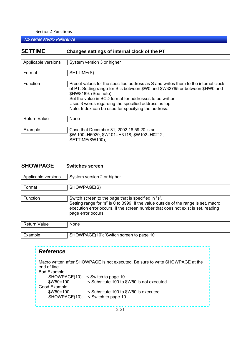NS series Macro Reference

| <b>SETTIME</b>      | Changes settings of internal clock of the PT                                                                                                                                                                                                                                                                                                                          |  |  |  |  |  |
|---------------------|-----------------------------------------------------------------------------------------------------------------------------------------------------------------------------------------------------------------------------------------------------------------------------------------------------------------------------------------------------------------------|--|--|--|--|--|
|                     |                                                                                                                                                                                                                                                                                                                                                                       |  |  |  |  |  |
| Applicable versions | System version 3 or higher                                                                                                                                                                                                                                                                                                                                            |  |  |  |  |  |
| Format              | SETTIME(S)                                                                                                                                                                                                                                                                                                                                                            |  |  |  |  |  |
| <b>Function</b>     | Preset values for the specified address as S and writes them to the internal clock<br>of PT. Setting range for S is between \$W0 and \$W32765 or between \$HW0 and<br>\$HW8189. (See note)<br>Set the value in BCD format for addresses to be written.<br>Uses 3 words regarding the specified address as top.<br>Note: Index can be used for specifying the address. |  |  |  |  |  |
| <b>Return Value</b> | None                                                                                                                                                                                                                                                                                                                                                                  |  |  |  |  |  |
| Example             | Case that December 31, 2002 18:59:20 is set.<br>\$W 100=H5920; \$W101=H3118; \$W102=H0212;<br>SETTIME(\$W100);                                                                                                                                                                                                                                                        |  |  |  |  |  |

## **SHOWPAGE Switches screen**

|                     | Applicable versions                                                                                                                                                                                                                                              | System version 2 or higher                                                                                                                                                                                                                        |  |  |  |  |  |
|---------------------|------------------------------------------------------------------------------------------------------------------------------------------------------------------------------------------------------------------------------------------------------------------|---------------------------------------------------------------------------------------------------------------------------------------------------------------------------------------------------------------------------------------------------|--|--|--|--|--|
| Format              | SHOWPAGE(S)                                                                                                                                                                                                                                                      |                                                                                                                                                                                                                                                   |  |  |  |  |  |
|                     | Function<br>Switch screen to the page that is specified in "s".<br>Setting range for "s" is 0 to 3999. If the value outside of the range is set, macro<br>execution error occurs. If the screen number that does not exist is set, reading<br>page error occurs. |                                                                                                                                                                                                                                                   |  |  |  |  |  |
| <b>Return Value</b> |                                                                                                                                                                                                                                                                  | None                                                                                                                                                                                                                                              |  |  |  |  |  |
|                     | Example<br>SHOWPAGE(10); 'Switch screen to page 10                                                                                                                                                                                                               |                                                                                                                                                                                                                                                   |  |  |  |  |  |
|                     | <b>Reference</b><br>end of line.<br>Bad Example:<br>$$W50=100;$<br>Good Example:<br>$$W50=100;$                                                                                                                                                                  | Macro written after SHOWPAGE is not executed. Be sure to write SHOWPAGE at the<br>SHOWPAGE(10); <-Switch to page 10<br><-Substitute 100 to \$W50 is not executed<br><-Substitute 100 to \$W50 is executed<br>SHOWPAGE(10);<br><-Switch to page 10 |  |  |  |  |  |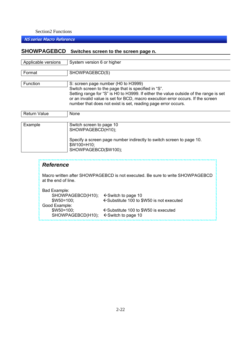## NS series Macro Reference

## **SHOWPAGEBCD Switches screen to the screen page n.**

| Applicable versions | System version 6 or higher                                                            |  |  |  |  |
|---------------------|---------------------------------------------------------------------------------------|--|--|--|--|
|                     |                                                                                       |  |  |  |  |
| Format              | SHOWPAGEBCD(S)                                                                        |  |  |  |  |
|                     |                                                                                       |  |  |  |  |
| <b>Function</b>     | S: screen page number (H0 to H3999)                                                   |  |  |  |  |
|                     | Switch screen to the page that is specified in "S".                                   |  |  |  |  |
|                     | Setting range for "S" is H0 to H3999. If either the value outside of the range is set |  |  |  |  |
|                     | or an invalid value is set for BCD, macro execution error occurs. If the screen       |  |  |  |  |
|                     | number that does not exist is set, reading page error occurs.                         |  |  |  |  |
|                     |                                                                                       |  |  |  |  |
| <b>Return Value</b> | None                                                                                  |  |  |  |  |
|                     |                                                                                       |  |  |  |  |
| Example             | Switch screen to page 10                                                              |  |  |  |  |
|                     | SHOWPAGEBCD(H10);                                                                     |  |  |  |  |
|                     |                                                                                       |  |  |  |  |
|                     | Specify a screen page number indirectly to switch screen to page 10.                  |  |  |  |  |
|                     | \$W100=H10;                                                                           |  |  |  |  |
|                     |                                                                                       |  |  |  |  |
|                     | SHOWPAGEBCD(\$W100);                                                                  |  |  |  |  |
|                     |                                                                                       |  |  |  |  |
|                     |                                                                                       |  |  |  |  |
| <b>Reference</b>    |                                                                                       |  |  |  |  |
|                     |                                                                                       |  |  |  |  |
|                     | Macro written after SHOWPAGEBCD is not executed. Be sure to write SHOWPAGEBCD         |  |  |  |  |

at the end of line. Bad Example:

| Bad Example:                                     |                                                  |
|--------------------------------------------------|--------------------------------------------------|
| SHOWPAGEBCD(H10); $\leftarrow$ Switch to page 10 |                                                  |
| $$W50=100$                                       | ← Substitute 100 to \$W50 is not executed        |
| Good Example:                                    |                                                  |
| $$W50=100$ :                                     | $\leftarrow$ Substitute 100 to \$W50 is executed |
| SHOWPAGEBCD(H10); $\leftarrow$ Switch to page 10 |                                                  |
|                                                  |                                                  |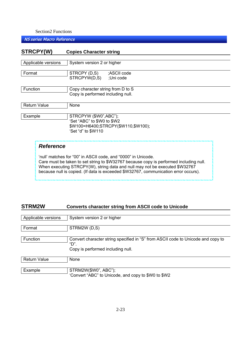NS series Macro Reference

| STRCPY(W)                                         | <b>Copies Character string</b> |                                                                                                                                                                                                                                                                                                                               |  |  |  |  |
|---------------------------------------------------|--------------------------------|-------------------------------------------------------------------------------------------------------------------------------------------------------------------------------------------------------------------------------------------------------------------------------------------------------------------------------|--|--|--|--|
|                                                   |                                |                                                                                                                                                                                                                                                                                                                               |  |  |  |  |
| Applicable versions<br>System version 2 or higher |                                |                                                                                                                                                                                                                                                                                                                               |  |  |  |  |
| Format                                            |                                | STRCPY (D,S) ;ASCII code<br>STRCPYW(D,S) ;Uni code                                                                                                                                                                                                                                                                            |  |  |  |  |
| Function                                          |                                | Copy character string from D to S<br>Copy is performed including null.                                                                                                                                                                                                                                                        |  |  |  |  |
| <b>Return Value</b><br>None                       |                                |                                                                                                                                                                                                                                                                                                                               |  |  |  |  |
| Example                                           |                                | STRCPYW (\$W0",ABC");<br>'Set "ABC" to \$W0 to \$W2<br>\$W100=H6400;STRCPY(\$W110,\$W100);<br>'Set "d" to \$W110                                                                                                                                                                                                              |  |  |  |  |
|                                                   | <b>Reference</b>               |                                                                                                                                                                                                                                                                                                                               |  |  |  |  |
|                                                   |                                | 'null' matches for "00" in ASCII code, and "0000" in Unicode.<br>Care must be taken to set string to \$W32767 because copy is performed including null.<br>When executing STRCPY(W), string data and null may not be executed \$W32767<br>because null is copied. (If data is exceeded \$W32767, communication error occurs). |  |  |  |  |

## **STRM2W Converts character string from ASCII code to Unicode**

| Applicable versions | System version 2 or higher                                                       |  |  |  |  |  |
|---------------------|----------------------------------------------------------------------------------|--|--|--|--|--|
|                     |                                                                                  |  |  |  |  |  |
|                     |                                                                                  |  |  |  |  |  |
| Format              | STRM2W (D,S)                                                                     |  |  |  |  |  |
|                     |                                                                                  |  |  |  |  |  |
|                     |                                                                                  |  |  |  |  |  |
| Function            | Convert character string specified in "S" from ASCII code to Unicode and copy to |  |  |  |  |  |
|                     |                                                                                  |  |  |  |  |  |
|                     | "D"                                                                              |  |  |  |  |  |
|                     | Copy is performed including null.                                                |  |  |  |  |  |
|                     |                                                                                  |  |  |  |  |  |
|                     |                                                                                  |  |  |  |  |  |
| <b>Return Value</b> | None                                                                             |  |  |  |  |  |
|                     |                                                                                  |  |  |  |  |  |
|                     |                                                                                  |  |  |  |  |  |
| Example             | STRM2W(\$W0", ABC");                                                             |  |  |  |  |  |
|                     |                                                                                  |  |  |  |  |  |

'Convert "ABC" to Unicode, and copy to \$W0 to \$W2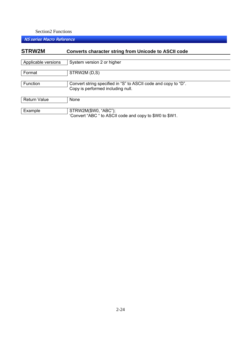| STRW2M              | <b>Converts character string from Unicode to ASCII code</b>                                         |  |  |  |  |
|---------------------|-----------------------------------------------------------------------------------------------------|--|--|--|--|
| Applicable versions | System version 2 or higher                                                                          |  |  |  |  |
| Format              | STRW2M (D,S)                                                                                        |  |  |  |  |
| Function            | Convert string specified in "S" to ASCII code and copy to "D".<br>Copy is performed including null. |  |  |  |  |
| <b>Return Value</b> | None                                                                                                |  |  |  |  |
| Example             | STRW2M(\$W0, "ABC");<br>'Convert "ABC " to ASCII code and copy to \$W0 to \$W1.                     |  |  |  |  |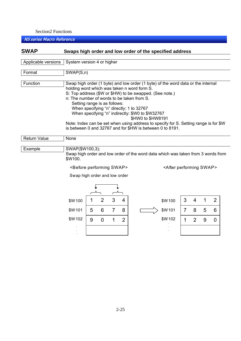| <b>SWAP</b>         | Swaps high order and low order of the specified address                                                                                                                                                                                                                                                                                                                                                                                                                                                                                            |                            |                |                |                |  |  |        |                |                |             |                |  |
|---------------------|----------------------------------------------------------------------------------------------------------------------------------------------------------------------------------------------------------------------------------------------------------------------------------------------------------------------------------------------------------------------------------------------------------------------------------------------------------------------------------------------------------------------------------------------------|----------------------------|----------------|----------------|----------------|--|--|--------|----------------|----------------|-------------|----------------|--|
| Applicable versions |                                                                                                                                                                                                                                                                                                                                                                                                                                                                                                                                                    | System version 4 or higher |                |                |                |  |  |        |                |                |             |                |  |
| Format              |                                                                                                                                                                                                                                                                                                                                                                                                                                                                                                                                                    | SWAP(S, n)                 |                |                |                |  |  |        |                |                |             |                |  |
| Function            | Swap high order (1 byte) and low order (1 byte) of the word data or the internal<br>holding word which was taken n word form S.<br>S: Top address (\$W or \$HW) to be swapped. (See note.)<br>n: The number of words to be taken from S.<br>Setting range is as follows:<br>When specifying "n" directly: 1 to 32767<br>When specifying "n" indirectly: \$W0 to \$W32767<br>\$HW0 to \$HW8191<br>Note: Index can be set when using address to specify for S. Setting range is for \$W<br>is between 0 and 32767 and for \$HW is between 0 to 8191. |                            |                |                |                |  |  |        |                |                |             |                |  |
| Return Value        | None                                                                                                                                                                                                                                                                                                                                                                                                                                                                                                                                               |                            |                |                |                |  |  |        |                |                |             |                |  |
| Example             | SWAP(\$W100,3);<br>Swap high order and low order of the word data which was taken from 3 words from<br>\$W100.                                                                                                                                                                                                                                                                                                                                                                                                                                     |                            |                |                |                |  |  |        |                |                |             |                |  |
|                     | <before performing="" swap=""><br/><after performing="" swap=""><br/>Swap high order and low order</after></before>                                                                                                                                                                                                                                                                                                                                                                                                                                |                            |                |                |                |  |  |        |                |                |             |                |  |
|                     | \$W100                                                                                                                                                                                                                                                                                                                                                                                                                                                                                                                                             | 1                          | $\overline{2}$ | 3              | 4              |  |  | \$W100 | 3              | $\overline{4}$ | $\mathbf 1$ | $\overline{2}$ |  |
|                     | \$W101                                                                                                                                                                                                                                                                                                                                                                                                                                                                                                                                             | 5                          | 6              | $\overline{7}$ | 8              |  |  | \$W101 | $\overline{7}$ | 8              | 5           | 6              |  |
|                     | \$W102                                                                                                                                                                                                                                                                                                                                                                                                                                                                                                                                             | 9                          | $\overline{0}$ | 1              | $\overline{2}$ |  |  | \$W102 | 1              | $\overline{2}$ | 9           | $\overline{0}$ |  |
|                     |                                                                                                                                                                                                                                                                                                                                                                                                                                                                                                                                                    |                            |                |                |                |  |  |        |                |                |             |                |  |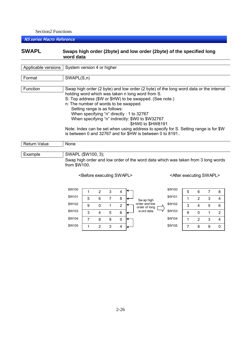NS series Macro Reference

## **SWAPL Swaps high order (2byte) and low order (2byte) of the specified long word data**

| Applicable versions<br>System version 4 or higher                                                                                                                                                                                                                                                                                                                                                                                                                                           |  |  |  |  |  |
|---------------------------------------------------------------------------------------------------------------------------------------------------------------------------------------------------------------------------------------------------------------------------------------------------------------------------------------------------------------------------------------------------------------------------------------------------------------------------------------------|--|--|--|--|--|
| SWAPL(S, n)                                                                                                                                                                                                                                                                                                                                                                                                                                                                                 |  |  |  |  |  |
| Swap high order (2 byte) and low order (2 byte) of the long word data or the internal<br>holding word which was taken n long word from S.<br>S: Top address (\$W or \$HW) to be swapped. (See note.)<br>n: The number of words to be swapped.<br>Setting range is as follows:<br>When specifying "n" directly : 1 to 32767<br>When specifying "n" indirectly: \$W0 to \$W32767<br>\$HW0 to \$HW8191<br>Note: Index can be set when using address to specify for S. Setting range is for \$W |  |  |  |  |  |
| is between 0 and 32767 and for \$HW is between 0 to 8191                                                                                                                                                                                                                                                                                                                                                                                                                                    |  |  |  |  |  |
| None                                                                                                                                                                                                                                                                                                                                                                                                                                                                                        |  |  |  |  |  |
| SWAPL (\$W100, 3);<br>Swap high order and low order of the word data which was taken from 3 long words<br>from \$W100.                                                                                                                                                                                                                                                                                                                                                                      |  |  |  |  |  |
|                                                                                                                                                                                                                                                                                                                                                                                                                                                                                             |  |  |  |  |  |

<Before executing SWAPL> <After executing SWAPL>



| \$W100 | 5 | 6              |   | 8 |
|--------|---|----------------|---|---|
| \$W101 |   | 2              | 3 |   |
| \$W102 | 3 | 4              | 5 | 6 |
| \$W103 | 9 | 0              |   | 2 |
| \$W104 |   | $\overline{2}$ | 3 |   |
| \$W105 |   | 8              | 9 | ი |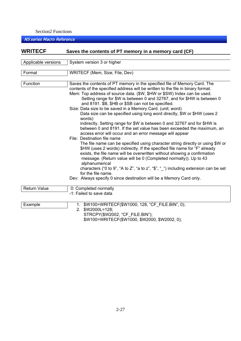| <b>WRITECF</b>      | Saves the contents of PT memory in a memory card (CF)                                                                                                                                                                                                                                                                                                                                                                                                                                                                                                                                                                                                                                                                                                                                                                                                                                                                                                                                                                                                                                                                                                                                                                                                                                              |  |  |  |  |
|---------------------|----------------------------------------------------------------------------------------------------------------------------------------------------------------------------------------------------------------------------------------------------------------------------------------------------------------------------------------------------------------------------------------------------------------------------------------------------------------------------------------------------------------------------------------------------------------------------------------------------------------------------------------------------------------------------------------------------------------------------------------------------------------------------------------------------------------------------------------------------------------------------------------------------------------------------------------------------------------------------------------------------------------------------------------------------------------------------------------------------------------------------------------------------------------------------------------------------------------------------------------------------------------------------------------------------|--|--|--|--|
| Applicable versions | System version 3 or higher                                                                                                                                                                                                                                                                                                                                                                                                                                                                                                                                                                                                                                                                                                                                                                                                                                                                                                                                                                                                                                                                                                                                                                                                                                                                         |  |  |  |  |
|                     |                                                                                                                                                                                                                                                                                                                                                                                                                                                                                                                                                                                                                                                                                                                                                                                                                                                                                                                                                                                                                                                                                                                                                                                                                                                                                                    |  |  |  |  |
| Format              | WRITECF (Mem, Size, File, Dev)                                                                                                                                                                                                                                                                                                                                                                                                                                                                                                                                                                                                                                                                                                                                                                                                                                                                                                                                                                                                                                                                                                                                                                                                                                                                     |  |  |  |  |
| Function            | Saves the contents of PT memory in the specified file of Memory Card. The<br>contents of the specified address will be written to the file in binary format.<br>Mem: Top address of source data. (\$W, \$HW or \$SW) Index can be used.<br>Setting range for \$W is between 0 and 32767, and for \$HW is between 0<br>and 8191. \$B, \$HB or \$SB can not be specified.<br>Size: Data size to be saved in a Memory Card. (unit; word)<br>Data size can be specified using long word directly, \$W or \$HW (uses 2<br>words)<br>indirectly. Setting range for \$W is between 0 and 32767 and for \$HW is<br>between 0 and 8191. If the set value has been exceeded the maximum, an<br>access error will occur and an error message will appear<br>File: Destination file name<br>The file name can be specified using character string directly or using \$W or<br>\$HW (uses 2 words) indirectly. If the specified file name for "F" already<br>exists, the file name will be overwritten without showing a confirmation<br>message. (Return value will be 0 (Completed normally)). Up to 43<br>alphanumerical<br>characters ("0 to 9", "A to Z", "a to z", "\$", "_") including extension can be set<br>for the file name.<br>Dev: Always specify 0 since destination will be a Memory Card only. |  |  |  |  |
| <b>Return Value</b> | 0: Completed normally<br>-1: Failed to save data                                                                                                                                                                                                                                                                                                                                                                                                                                                                                                                                                                                                                                                                                                                                                                                                                                                                                                                                                                                                                                                                                                                                                                                                                                                   |  |  |  |  |
|                     |                                                                                                                                                                                                                                                                                                                                                                                                                                                                                                                                                                                                                                                                                                                                                                                                                                                                                                                                                                                                                                                                                                                                                                                                                                                                                                    |  |  |  |  |
| Example             | 1. \$W100=WRITECF(\$W1000, 128, "CF FILE.BIN", 0);<br>2. \$W2000L=128;<br>STRCPY(\$W2002, "CF FILE.BIN");<br>\$W100=WRITECF(\$W1000, \$W2000, \$W2002, 0);                                                                                                                                                                                                                                                                                                                                                                                                                                                                                                                                                                                                                                                                                                                                                                                                                                                                                                                                                                                                                                                                                                                                         |  |  |  |  |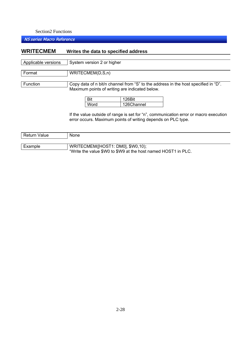NS series Macro Reference

## **WRITECMEM Writes the data to specified address**

| Applicable versions | System version 2 or higher                                                                                                           |            |                                                                                      |  |  |
|---------------------|--------------------------------------------------------------------------------------------------------------------------------------|------------|--------------------------------------------------------------------------------------|--|--|
| Format              | WRITECMEM(D,S,n)                                                                                                                     |            |                                                                                      |  |  |
| Function            | Copy data of n bit/n channel from "S" to the address in the host specified in "D".<br>Maximum points of writing are indicated below. |            |                                                                                      |  |  |
|                     | Bit                                                                                                                                  | 126Bit     |                                                                                      |  |  |
|                     | Word                                                                                                                                 | 126Channel |                                                                                      |  |  |
|                     |                                                                                                                                      |            | If the value outside of range is set for "n", communication error or macro execution |  |  |

If the value outside of range is set for "n", communication error or macro execution error occurs. Maximum points of writing depends on PLC type.

| <b>Return Value</b> | None                                                          |
|---------------------|---------------------------------------------------------------|
|                     |                                                               |
| Example             | WRITECMEM([HOST1: DM0], \$W0,10);                             |
|                     | "Write the value \$W0 to \$W9 at the host named HOST1 in PLC. |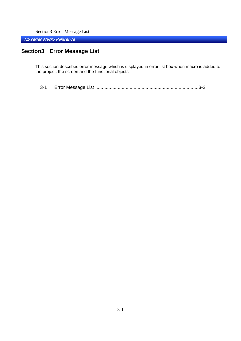Section3 Error Message List

NS series Macro Reference

## **Section3 Error Message List**

This section describes error message which is displayed in error list box when macro is added to the project, the screen and the functional objects.

```
3-1 Error Message List ..............................................................................3-2
```